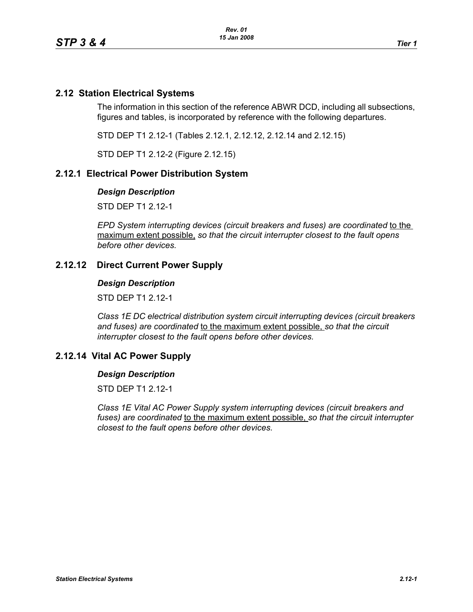# **2.12 Station Electrical Systems**

The information in this section of the reference ABWR DCD, including all subsections, figures and tables, is incorporated by reference with the following departures.

STD DEP T1 2.12-1 (Tables 2.12.1, 2.12.12, 2.12.14 and 2.12.15)

STD DEP T1 2.12-2 (Figure 2.12.15)

# **2.12.1 Electrical Power Distribution System**

### *Design Description*

STD DEP T1 2.12-1

*EPD System interrupting devices (circuit breakers and fuses) are coordinated* to the maximum extent possible, *so that the circuit interrupter closest to the fault opens before other devices.*

# **2.12.12 Direct Current Power Supply**

### *Design Description*

STD DEP T1 2.12-1

*Class 1E DC electrical distribution system circuit interrupting devices (circuit breakers and fuses) are coordinated* to the maximum extent possible, *so that the circuit interrupter closest to the fault opens before other devices.*

# **2.12.14 Vital AC Power Supply**

### *Design Description*

STD DFP T1 2 12-1

*Class 1E Vital AC Power Supply system interrupting devices (circuit breakers and fuses) are coordinated* to the maximum extent possible, *so that the circuit interrupter closest to the fault opens before other devices.*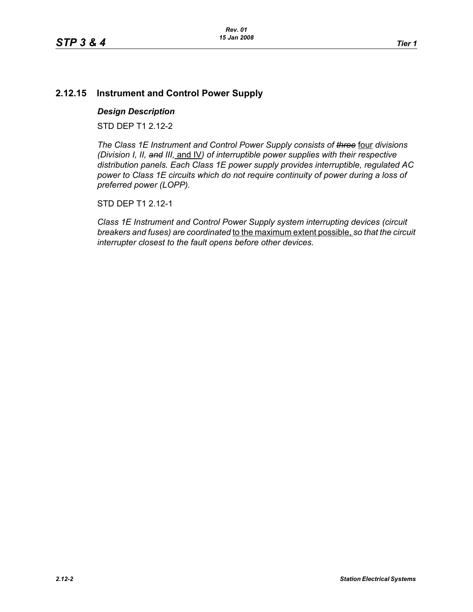# **2.12.15 Instrument and Control Power Supply**

### *Design Description*

STD DEP T1 2.12-2

*The Class 1E Instrument and Control Power Supply consists of three* four *divisions (Division I, II, and III,* and IV*) of interruptible power supplies with their respective distribution panels. Each Class 1E power supply provides interruptible, regulated AC power to Class 1E circuits which do not require continuity of power during a loss of preferred power (LOPP).*

STD DEP T1 2.12-1

*Class 1E Instrument and Control Power Supply system interrupting devices (circuit breakers and fuses) are coordinated* to the maximum extent possible, *so that the circuit interrupter closest to the fault opens before other devices.*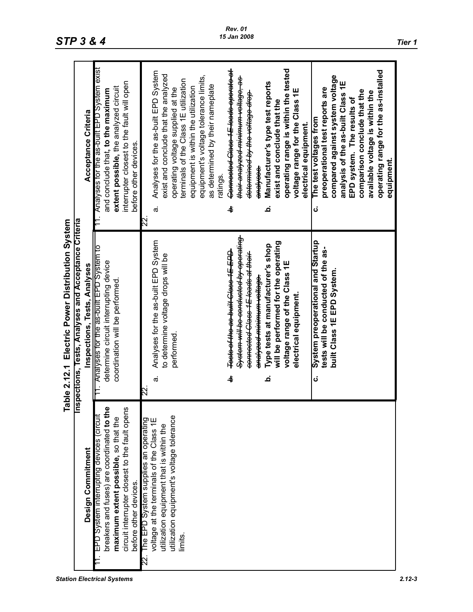|                                                                                                                                                                                                           | Table 2.12.1 Electric Power Distribution System                                                                                                                                                                                                                                                                                                                                                                                                                                                                                      |                                                                                                                                                                                                                                                                                                                                                                                                                                                                                                                                                                                                                                                                                                                                                                                                                                                                                                                                                   |
|-----------------------------------------------------------------------------------------------------------------------------------------------------------------------------------------------------------|--------------------------------------------------------------------------------------------------------------------------------------------------------------------------------------------------------------------------------------------------------------------------------------------------------------------------------------------------------------------------------------------------------------------------------------------------------------------------------------------------------------------------------------|---------------------------------------------------------------------------------------------------------------------------------------------------------------------------------------------------------------------------------------------------------------------------------------------------------------------------------------------------------------------------------------------------------------------------------------------------------------------------------------------------------------------------------------------------------------------------------------------------------------------------------------------------------------------------------------------------------------------------------------------------------------------------------------------------------------------------------------------------------------------------------------------------------------------------------------------------|
|                                                                                                                                                                                                           | Inspections, Tests, Analyses and Acceptance Criteria                                                                                                                                                                                                                                                                                                                                                                                                                                                                                 |                                                                                                                                                                                                                                                                                                                                                                                                                                                                                                                                                                                                                                                                                                                                                                                                                                                                                                                                                   |
| Design Commitment                                                                                                                                                                                         | Inspections, Tests, Analyses                                                                                                                                                                                                                                                                                                                                                                                                                                                                                                         | Acceptance Criteria                                                                                                                                                                                                                                                                                                                                                                                                                                                                                                                                                                                                                                                                                                                                                                                                                                                                                                                               |
| breakers and fuses) are coordinated to the<br>circuit interrupter closest to the fault opens<br>EPD System interrupting devices (circuit<br>maximum extent possible, so that the<br>before other devices. | 11. Analyses for the as-built EPD System to<br>determine circuit interrupting device<br>coordination will be performed.                                                                                                                                                                                                                                                                                                                                                                                                              | 11. Analyses for the as-built EPD System exist<br>interrupter closest to the fault will open<br>extent possible, the analyzed circuit<br>and conclude that, to the maximum<br>before other devices.                                                                                                                                                                                                                                                                                                                                                                                                                                                                                                                                                                                                                                                                                                                                               |
| utilization equipment's voltage tolerance<br>The EPD System supplies an operating<br>voltage at the terminals of the Class 1E<br>utilization equipment that is within the<br>limits.                      | System will be conducted by operating<br>Analyses for the as-built EPD System<br>System preoperational and Startup<br>will be performed for the operating<br>Type tests at manufacturer's shop<br>tests will be conducted of the as-<br>Tests of the as built Class 1E EPD<br>connected Class 1E loads at their<br>to determine voltage drops will be<br>voltage range of the Class 1E<br>built Class 1E EPD System.<br><del>analyzed minimum voltage.</del><br>electrical equipment<br>performed.<br>ቀ<br>ن<br>خ<br>$\vec{a}$<br>22 | Connected Class 1E loads operate at<br>operating range is within the tested<br>operating range for the as-installed<br>Analyses for the as-built EPD System<br>exist and conclude that the analyzed<br>equipment's voltage tolerance limits,<br>compared against system voltage<br><del>their analyzed minimum voltage, as</del><br>terminals of the Class 1E utilization<br>analysis of the as-built Class 1E<br>Manufacturer's type test reports<br>as determined by their nameplate<br>equipment is within the utilization<br>operating voltage supplied at the<br>preoperational test reports are<br>voltage range for the Class 1E<br>comparison conclude that the<br>available voltage is within the<br><del>determined by the voltage drop</del><br>EPD system. The results of<br>exist and conclude that the<br>The test voltages from<br>electrical equipment.<br>equipment.<br>analyses.<br>ratings.<br>خ<br>4<br>$\vec{a}$<br>ن<br>22. |

# **STP 3 & 4** *TD 3 & 4 Tier 1 Tier 1*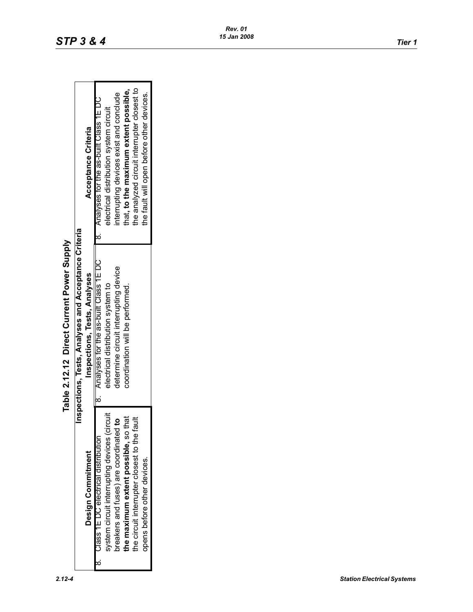|                                              | Inspections, Tests, Analyses and Acceptance Criteria |                                             |
|----------------------------------------------|------------------------------------------------------|---------------------------------------------|
| Design Commitment                            | Inspections, Tests, Analyses                         | Acceptance Criteria                         |
| Class 1E DC electrical distribution          | 18. Analyses for the as-built Class 1E DC            | 8. Analyses for the as-built Class 1E DC    |
| system circuit interrupting devices (circuit | electrical distribution system to                    | electrical distribution system circuit      |
| breakers and fuses) are coordinated to       | determine circuit interrupting device                | interrupting devices exist and conclude     |
| the maximum extent possible, so that         | coordination will be performed.                      | that, to the maximum extent possible,       |
| the circuit interrupter closest to the fault |                                                      | the analyzed circuit interrupter closest to |
| opens before other devices.                  |                                                      | the fault will open before other devices.   |

# Table 2.12.12 Direct Current Power Supply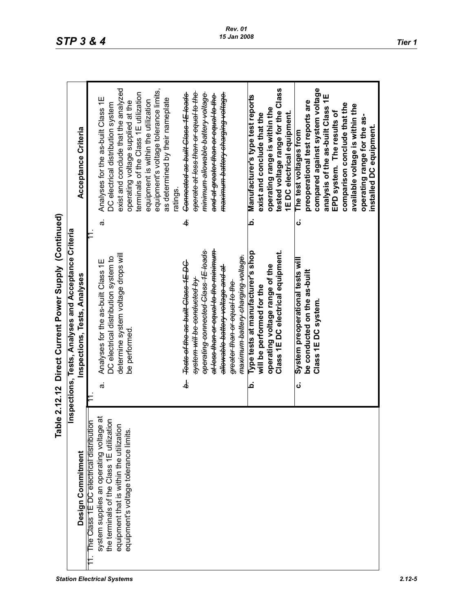| <b>Station Electrical Systems</b> | 2.12-5 |
|-----------------------------------|--------|
|                                   |        |

|                                                   | Table 2.12.12 Direct Current Power Supply (Continued) |                                                      |
|---------------------------------------------------|-------------------------------------------------------|------------------------------------------------------|
|                                                   | Inspections, Tests, Analyses and Acceptance Criteria  |                                                      |
| Design Commitment                                 | Inspections, Tests, Analyses                          | Acceptance Criteria                                  |
| The Class 1E DC electrical distribution           |                                                       |                                                      |
| $\vec{a}$<br>system supplies an operating voltage | Analyses for the as-built Class 1E<br>$\vec{\sigma}$  | Analyses for the as-built Class 1E<br>$\vec{\sigma}$ |
| the terminals of the Class 1E utilization         | OC electrical distribution system to                  | DC electrical distribution system                    |
| equipment that is within the utilization          | determine system voltage drops will                   | exist and conclude that the analyzed                 |
| equipment's voltage tolerance limits.             | be performed.                                         | operating voltage supplied at the                    |
|                                                   |                                                       | terminals of the Class 1E utilization                |
|                                                   |                                                       | equipment is within the utilization                  |
|                                                   |                                                       | equipment's voltage tolerance limits,                |
|                                                   |                                                       | as determined by their nameplate                     |
|                                                   |                                                       | ratings.                                             |
|                                                   | Tests of the as built Class 1E DC<br>ن<br>ف           | Connected as built Class 1E loads<br>ä               |
|                                                   | <del>system will be conducted by</del>                | operate at less than or equal to the                 |
|                                                   | operating connected Class 1E loads                    | <del>minimum allowable battery voltage</del>         |
|                                                   | at less than or equal to the minimum                  | <del>and at greater than or equal to the</del>       |
|                                                   | <del>allowable battery voltage and at</del>           | <del>maximum battery charging voltage.</del>         |
|                                                   | greater than or equal to the                          |                                                      |
|                                                   | maximum battery charging voltage.                     |                                                      |
|                                                   | Type tests at manufacturer's shop<br>Ġ                | Manufacturer's type test reports<br>خ                |
|                                                   | will be performed for the                             | exist and conclude that the                          |
|                                                   | operating voltage range of the                        | operating range is within the                        |
|                                                   | Class 1E DC electrical equipment.                     | tested voltage range for the Class                   |
|                                                   |                                                       | 1E DC electrical equipment.                          |
|                                                   | System preoperational tests will<br>ن                 | The test voltages from<br>ن                          |
|                                                   | be conducted on the as-built                          | preoperational test reports are                      |
|                                                   | Class 1E DC system                                    | compared against system voltage                      |
|                                                   |                                                       | analysis of the as-built Class 1E                    |
|                                                   |                                                       | EPD system. The results of                           |
|                                                   |                                                       | comparison conclude that the                         |
|                                                   |                                                       | available voltage is within the                      |
|                                                   |                                                       | operating range for the as-                          |
|                                                   |                                                       | installed DC equipment.                              |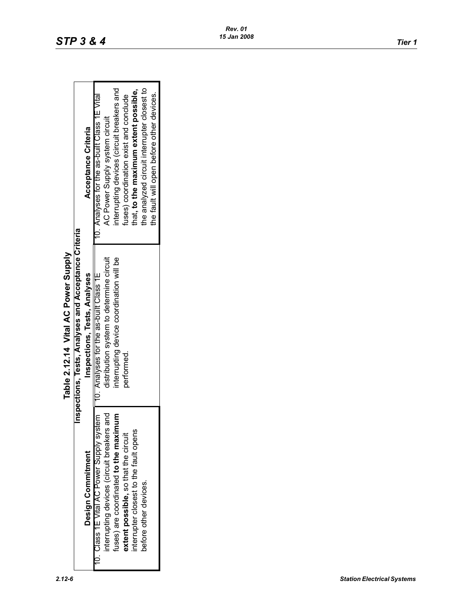Τ

 $\Gamma$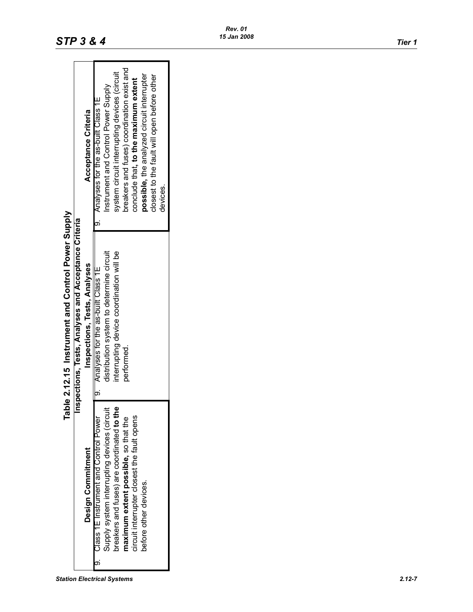|                                             | Table 2.12.15 Instrument and Control Power Supply    |                                              |
|---------------------------------------------|------------------------------------------------------|----------------------------------------------|
|                                             | Inspections, Tests, Analyses and Acceptance Criteria |                                              |
| Design Commitment                           | Inspections, Tests, Analyses                         | Acceptance Criteria                          |
| 9. Class 1E Instrument and Control Power    | 19. Analyses for the as-built Class 1E               | 9. Analyses for the as-built Class 1E        |
| Supply system interrupting devices (circuit | distribution system to determine circuit             | Instrument and Control Power Supply          |
| breakers and fuses) are coordinated to the  | interrupting device coordination will be             | system circuit interrupting devices (circuit |
| maximum extent possible, so that the        | performed.                                           | breakers and fuses) coordination exist and   |
| circuit interrupter closest the fault opens |                                                      | conclude that, to the maximum extent         |
| before other devices.                       |                                                      | possible, the analyzed circuit interrupter   |
|                                             |                                                      | closest to the fault will open before other  |
|                                             |                                                      | devices                                      |
|                                             |                                                      |                                              |